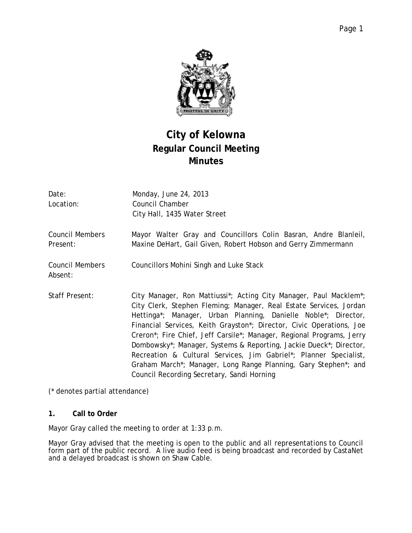

# **City of Kelowna Regular Council Meeting Minutes**

| Date:<br>Location:                 | Monday, June 24, 2013<br>Council Chamber<br>City Hall, 1435 Water Street                                                                                                                                                                                                                                                                                                                                                                                                                                                                                                                                                                                                   |
|------------------------------------|----------------------------------------------------------------------------------------------------------------------------------------------------------------------------------------------------------------------------------------------------------------------------------------------------------------------------------------------------------------------------------------------------------------------------------------------------------------------------------------------------------------------------------------------------------------------------------------------------------------------------------------------------------------------------|
| <b>Council Members</b><br>Present: | Mayor Walter Gray and Councillors Colin Basran, Andre Blanleil,<br>Maxine DeHart, Gail Given, Robert Hobson and Gerry Zimmermann                                                                                                                                                                                                                                                                                                                                                                                                                                                                                                                                           |
| <b>Council Members</b><br>Absent:  | Councillors Mohini Singh and Luke Stack                                                                                                                                                                                                                                                                                                                                                                                                                                                                                                                                                                                                                                    |
| Staff Present:                     | City Manager, Ron Mattiussi <sup>*</sup> ; Acting City Manager, Paul Macklem <sup>*</sup> ;<br>City Clerk, Stephen Fleming; Manager, Real Estate Services, Jordan<br>Hettinga*; Manager, Urban Planning, Danielle Noble*; Director,<br>Financial Services, Keith Grayston*; Director, Civic Operations, Joe<br>Creron*; Fire Chief, Jeff Carsile*; Manager, Regional Programs, Jerry<br>Dombowsky*; Manager, Systems & Reporting, Jackie Dueck*; Director,<br>Recreation & Cultural Services, Jim Gabriel*; Planner Specialist,<br>Graham March <sup>*</sup> ; Manager, Long Range Planning, Gary Stephen <sup>*</sup> ; and<br>Council Recording Secretary, Sandi Horning |

(\* denotes partial attendance)

# **1. Call to Order**

Mayor Gray called the meeting to order at 1:33 p.m.

Mayor Gray advised that the meeting is open to the public and all representations to Council form part of the public record. A live audio feed is being broadcast and recorded by CastaNet and a delayed broadcast is shown on Shaw Cable.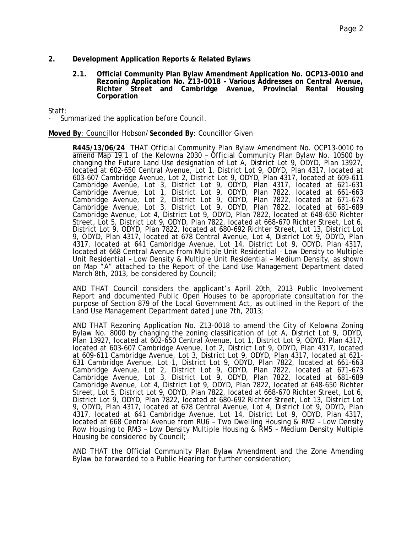# **2. Development Application Reports & Related Bylaws**

**2.1. Official Community Plan Bylaw Amendment Application No. OCP13-0010 and Rezoning Application No. Z13-0018 - Various Addresses on Central Avenue, Richter Street and Cambridge Avenue, Provincial Rental Housing Corporation**

Staff:

Summarized the application before Council.

#### **Moved By**: Councillor Hobson/**Seconded By**: Councillor Given

**R445/13/06/24** THAT Official Community Plan Bylaw Amendment No. OCP13-0010 to amend Map 19.1 of the Kelowna 2030 - Official Community Plan Bylaw No. 10500 by changing the Future Land Use designation of Lot A, District Lot 9, ODYD, Plan 13927, located at 602-650 Central Avenue, Lot 1, District Lot 9, ODYD, Plan 4317, located at 603-607 Cambridge Avenue, Lot 2, District Lot 9, ODYD, Plan 4317, located at 609-611 Cambridge Avenue, Lot 3, District Lot 9, ODYD, Plan 4317, located at 621-631 Cambridge Avenue, Lot 1, District Lot 9, ODYD, Plan 7822, located at 661-663 Cambridge Avenue, Lot 2, District Lot 9, ODYD, Plan 7822, located at 671-673 Cambridge Avenue, Lot 3, District Lot 9, ODYD, Plan 7822, located at 681-689 Cambridge Avenue, Lot 4, District Lot 9, ODYD, Plan 7822, located at 648-650 Richter Street, Lot 5, District Lot 9, ODYD, Plan 7822, located at 668-670 Richter Street, Lot 6, District Lot 9, ODYD, Plan 7822, located at 680-692 Richter Street, Lot 13, District Lot 9, ODYD, Plan 4317, located at 678 Central Avenue, Lot 4, District Lot 9, ODYD, Plan 4317, located at 641 Cambridge Avenue, Lot 14, District Lot 9, ODYD, Plan 4317, located at 668 Central Avenue from Multiple Unit Residential – Low Density to Multiple Unit Residential – Low Density & Multiple Unit Residential – Medium Density, as shown on Map "A" attached to the Report of the Land Use Management Department dated March 8th, 2013, be considered by Council;

AND THAT Council considers the applicant's April 20th, 2013 Public Involvement Report and documented Public Open Houses to be appropriate consultation for the purpose of Section 879 of the Local Government Act, as outlined in the Report of the Land Use Management Department dated June 7th, 2013;

AND THAT Rezoning Application No. Z13-0018 to amend the City of Kelowna Zoning Bylaw No. 8000 by changing the zoning classification of Lot A, District Lot 9, ODYD, Plan 13927, located at 602-650 Central Avenue, Lot 1, District Lot 9, ODYD, Plan 4317, located at 603-607 Cambridge Avenue, Lot 2, District Lot 9, ODYD, Plan 4317, located at 609-611 Cambridge Avenue, Lot 3, District Lot 9, ODYD, Plan 4317, located at 621- 631 Cambridge Avenue, Lot 1, District Lot 9, ODYD, Plan 7822, located at 661-663 Cambridge Avenue, Lot 2, District Lot 9, ODYD, Plan 7822, located at 671-673 Cambridge Avenue, Lot 3, District Lot 9, ODYD, Plan 7822, located at 681-689 Cambridge Avenue, Lot 4, District Lot 9, ODYD, Plan 7822, located at 648-650 Richter Street, Lot 5, District Lot 9, ODYD, Plan 7822, located at 668-670 Richter Street, Lot 6, District Lot 9, ODYD, Plan 7822, located at 680-692 Richter Street, Lot 13, District Lot 9, ODYD, Plan 4317, located at 678 Central Avenue, Lot 4, District Lot 9, ODYD, Plan 4317, located at 641 Cambridge Avenue, Lot 14, District Lot 9, ODYD, Plan 4317, located at 668 Central Avenue from RU6 – Two Dwelling Housing & RM2 – Low Density Row Housing to RM3 – Low Density Multiple Housing & RM5 – Medium Density Multiple Housing be considered by Council;

AND THAT the Official Community Plan Bylaw Amendment and the Zone Amending Bylaw be forwarded to a Public Hearing for further consideration;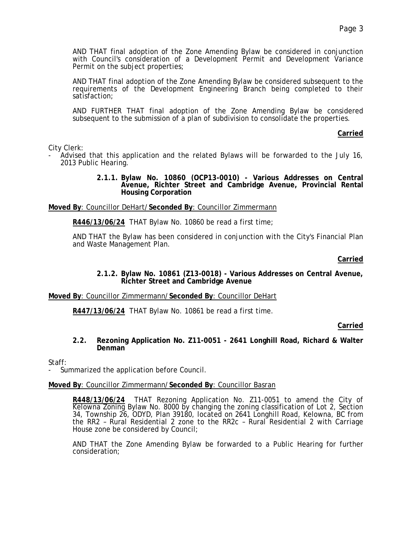AND THAT final adoption of the Zone Amending Bylaw be considered in conjunction with Council's consideration of a Development Permit and Development Variance Permit on the subject properties;

AND THAT final adoption of the Zone Amending Bylaw be considered subsequent to the requirements of the Development Engineering Branch being completed to their satisfaction;

AND FURTHER THAT final adoption of the Zone Amending Bylaw be considered subsequent to the submission of a plan of subdivision to consolidate the properties.

# **Carried**

City Clerk:

- Advised that this application and the related Bylaws will be forwarded to the July 16, 2013 Public Hearing.
	- **2.1.1. Bylaw No. 10860 (OCP13-0010) - Various Addresses on Central Avenue, Richter Street and Cambridge Avenue, Provincial Rental Housing Corporation**

**Moved By**: Councillor DeHart/**Seconded By**: Councillor Zimmermann

**R446/13/06/24** THAT Bylaw No. 10860 be read a first time;

AND THAT the Bylaw has been considered in conjunction with the City's Financial Plan and Waste Management Plan.

# **Carried**

**2.1.2. Bylaw No. 10861 (Z13-0018) - Various Addresses on Central Avenue, Richter Street and Cambridge Avenue**

# **Moved By**: Councillor Zimmermann/**Seconded By**: Councillor DeHart

**R447/13/06/24** THAT Bylaw No. 10861 be read a first time.

# **Carried**

**2.2. Rezoning Application No. Z11-0051 - 2641 Longhill Road, Richard & Walter Denman**

# Staff:

Summarized the application before Council.

# **Moved By**: Councillor Zimmermann/**Seconded By**: Councillor Basran

**R448/13/06/24** THAT Rezoning Application No. Z11-0051 to amend the City of Kelowna Zoning Bylaw No. 8000 by changing the zoning classification of Lot 2, Section 34, Township 26, ODYD, Plan 39180, located on 2641 Longhill Road, Kelowna, BC from the RR2 – Rural Residential 2 zone to the RR2c – Rural Residential 2 with Carriage House zone be considered by Council;

AND THAT the Zone Amending Bylaw be forwarded to a Public Hearing for further consideration;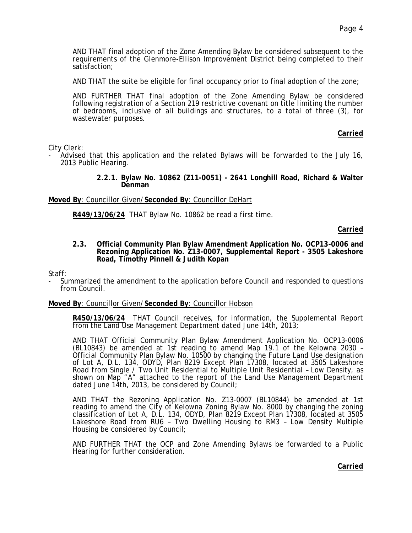AND THAT final adoption of the Zone Amending Bylaw be considered subsequent to the requirements of the Glenmore-Ellison Improvement District being completed to their satisfaction;

AND THAT the suite be eligible for final occupancy prior to final adoption of the zone;

AND FURTHER THAT final adoption of the Zone Amending Bylaw be considered following registration of a Section 219 restrictive covenant on title limiting the number of bedrooms, inclusive of all buildings and structures, to a total of three (3), for wastewater purposes.

# **Carried**

City Clerk:

- Advised that this application and the related Bylaws will be forwarded to the July 16, 2013 Public Hearing.
	- **2.2.1. Bylaw No. 10862 (Z11-0051) - 2641 Longhill Road, Richard & Walter Denman**

**Moved By**: Councillor Given/**Seconded By**: Councillor DeHart

**R449/13/06/24** THAT Bylaw No. 10862 be read a first time.

#### **Carried**

**2.3. Official Community Plan Bylaw Amendment Application No. OCP13-0006 and Rezoning Application No. Z13-0007, Supplemental Report - 3505 Lakeshore Road, Timothy Pinnell & Judith Kopan**

Staff:

Summarized the amendment to the application before Council and responded to questions from Council.

#### **Moved By**: Councillor Given/**Seconded By**: Councillor Hobson

**R450/13/06/24** THAT Council receives, for information, the Supplemental Report from the Land Use Management Department dated June 14th, 2013;

AND THAT Official Community Plan Bylaw Amendment Application No. OCP13-0006 (BL10843) be amended at 1st reading to amend Map 19.1 of the Kelowna 2030 -(BL10843) be amended at 1st reading to amend Map 19.1 of the Kelowna 2030 –<br>Official Community Plan Bylaw No. 10500 by changing the Future Land Use designation of Lot A, D.L. 134, ODYD, Plan 8219 Except Plan 17308, located at 3505 Lakeshore Road from Single / Two Unit Residential to Multiple Unit Residential – Low Density, as shown on Map "A" attached to the report of the Land Use Management Department dated June 14th, 2013, be considered by Council;

AND THAT the Rezoning Application No. Z13-0007 (BL10844) be amended at 1st reading to amend the City of Kelowna Zoning Bylaw No. 8000 by changing the zoning classification of Lot A, D.L. 134, ODYD, Plan 8219 Except Plan 17308, located at 3505 Lakeshore Road from RU6 – Two Dwelling Housing to RM3 – Low Density Multiple Housing be considered by Council;

AND FURTHER THAT the OCP and Zone Amending Bylaws be forwarded to a Public Hearing for further consideration.

**Carried**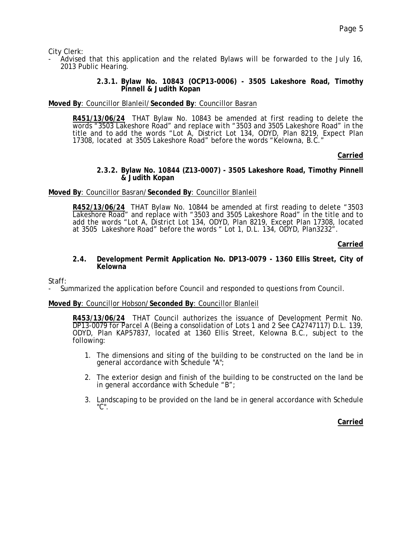City Clerk:

- Advised that this application and the related Bylaws will be forwarded to the July 16, 2013 Public Hearing.
	- **2.3.1. Bylaw No. 10843 (OCP13-0006) - 3505 Lakeshore Road, Timothy Pinnell & Judith Kopan**

# **Moved By**: Councillor Blanleil/**Seconded By**: Councillor Basran

**R451/13/06/24** THAT Bylaw No. 10843 be amended at first reading to delete the words "3503 Lakeshore Road" and replace with "3503 and 3505 Lakeshore Road" in the title and to add the words "Lot A, District Lot 134, ODYD, Plan 8219, Expect Plan 17308, located at 3505 Lakeshore Road" before the words "Kelowna, B.C."

# **Carried**

#### **2.3.2. Bylaw No. 10844 (Z13-0007) - 3505 Lakeshore Road, Timothy Pinnell & Judith Kopan**

# **Moved By**: Councillor Basran/**Seconded By**: Councillor Blanleil

**R452/13/06/24** THAT Bylaw No. 10844 be amended at first reading to delete "3503 Lakeshore Road" and replace with "3503 and 3505 Lakeshore Road" in the title and to add the words "Lot A, District Lot 134, ODYD, Plan 8219, Except Plan 17308, located at 3505 Lakeshore Road" before the words " Lot 1, D.L. 134, ODYD, Plan3232".

# **Carried**

#### **2.4. Development Permit Application No. DP13-0079 - 1360 Ellis Street, City of Kelowna**

Staff:

Summarized the application before Council and responded to questions from Council.

# **Moved By**: Councillor Hobson/**Seconded By**: Councillor Blanleil

**R453/13/06/24** THAT Council authorizes the issuance of Development Permit No. DP13-0079 for Parcel A (Being a consolidation of Lots 1 and 2 See CA2747117) D.L. 139, ODYD, Plan KAP57837, located at 1360 Ellis Street, Kelowna B.C., subject to the following:

- 1. The dimensions and siting of the building to be constructed on the land be in general accordance with Schedule "A";
- 2. The exterior design and finish of the building to be constructed on the land be in general accordance with Schedule "B";
- 3. Landscaping to be provided on the land be in general accordance with Schedule "C".

**Carried**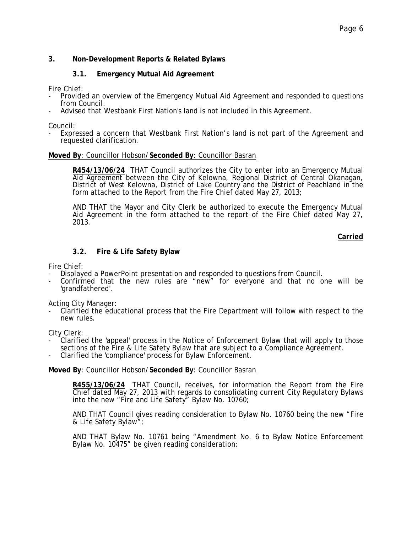# **3. Non-Development Reports & Related Bylaws**

# **3.1. Emergency Mutual Aid Agreement**

Fire Chief:

- Provided an overview of the Emergency Mutual Aid Agreement and responded to questions from Council.
- Advised that Westbank First Nation's land is not included in this Agreement.

Council:<br>- Expressed a concern that Westbank First Nation's land is not part of the Agreement and requested clarification.

#### **Moved By**: Councillor Hobson/**Seconded By**: Councillor Basran

**R454/13/06/24** THAT Council authorizes the City to enter into an Emergency Mutual Aid Agreement between the City of Kelowna, Regional District of Central Okanagan, District of West Kelowna, District of Lake Country and the District of Peachland in the form attached to the Report from the Fire Chief dated May 27, 2013;

AND THAT the Mayor and City Clerk be authorized to execute the Emergency Mutual Aid Agreement in the form attached to the report of the Fire Chief dated May 27, 2013.

**Carried**

# **3.2. Fire & Life Safety Bylaw**

Fire Chief:

- Displayed a PowerPoint presentation and responded to questions from Council.
- Confirmed that the new rules are "new" for everyone and that no one will be 'grandfathered'.

Acting City Manager:

- Clarified the educational process that the Fire Department will follow with respect to the new rules.

City Clerk:

- Clarified the 'appeal' process in the Notice of Enforcement Bylaw that will apply to those sections of the Fire & Life Safety Bylaw that are subject to a Compliance Agreement.<br>- Clarified the 'compliance' process for Bylaw Enforcement.
- 

#### **Moved By**: Councillor Hobson/**Seconded By**: Councillor Basran

**R455/13/06/24** THAT Council, receives, for information the Report from the Fire Chief dated May 27, 2013 with regards to consolidating current City Regulatory Bylaws into the new "Fire and Life Safety" Bylaw No. 10760;

AND THAT Council gives reading consideration to Bylaw No. 10760 being the new "Fire & Life Safety Bylaw";

AND THAT Bylaw No. 10761 being "Amendment No. 6 to Bylaw Notice Enforcement Bylaw No. 10475" be given reading consideration;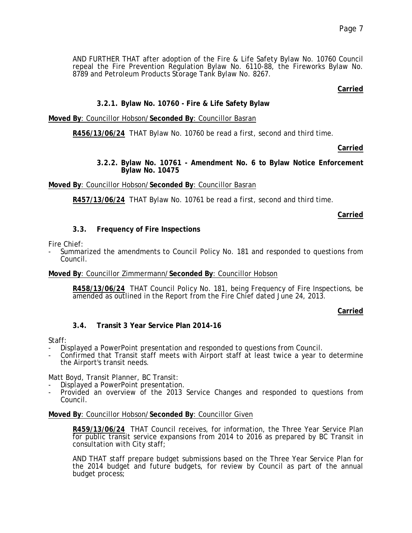AND FURTHER THAT after adoption of the Fire & Life Safety Bylaw No. 10760 Council repeal the Fire Prevention Regulation Bylaw No. 6110-88, the Fireworks Bylaw No. 8789 and Petroleum Products Storage Tank Bylaw No. 8267.

# **Carried**

# **3.2.1. Bylaw No. 10760 - Fire & Life Safety Bylaw**

**Moved By**: Councillor Hobson/**Seconded By**: Councillor Basran

**R456/13/06/24** THAT Bylaw No. 10760 be read a first, second and third time.

# **Carried**

# **3.2.2. Bylaw No. 10761 - Amendment No. 6 to Bylaw Notice Enforcement Bylaw No. 10475**

# **Moved By**: Councillor Hobson/**Seconded By**: Councillor Basran

**R457/13/06/24** THAT Bylaw No. 10761 be read a first, second and third time.

# **Carried**

# **3.3. Frequency of Fire Inspections**

Fire Chief:

- Summarized the amendments to Council Policy No. 181 and responded to questions from Council.

# **Moved By**: Councillor Zimmermann/**Seconded By**: Councillor Hobson

**R458/13/06/24** THAT Council Policy No. 181, being Frequency of Fire Inspections, be amended as outlined in the Report from the Fire Chief dated June 24, 2013.

# **Carried**

# **3.4. Transit 3 Year Service Plan 2014-16**

- Staff:<br>- Displayed a PowerPoint presentation and responded to questions from Council.
- Confirmed that Transit staff meets with Airport staff at least twice a year to determine the Airport's transit needs.

# Matt Boyd, Transit Planner, BC Transit:<br>- Displayed a PowerPoint presentation.

- 
- Provided an overview of the 2013 Service Changes and responded to questions from Council.

# **Moved By**: Councillor Hobson/**Seconded By**: Councillor Given

**R459/13/06/24** THAT Council receives, for information, the Three Year Service Plan for public transit service expansions from 2014 to 2016 as prepared by BC Transit in consultation with City staff;

AND THAT staff prepare budget submissions based on the Three Year Service Plan for the 2014 budget and future budgets, for review by Council as part of the annual budget process;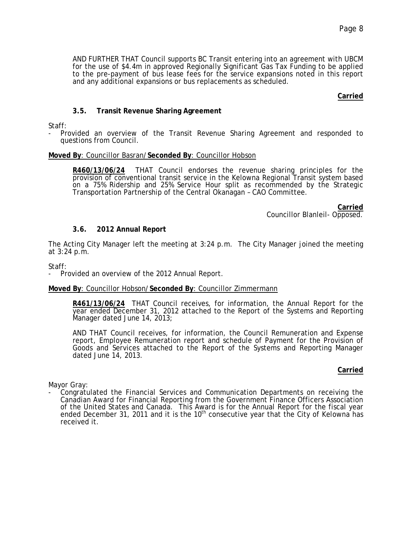AND FURTHER THAT Council supports BC Transit entering into an agreement with UBCM for the use of \$4.4m in approved Regionally Significant Gas Tax Funding to be applied to the pre-payment of bus lease fees for the service expansions noted in this report and any additional expansions or bus replacements as scheduled.

# **Carried**

# **3.5. Transit Revenue Sharing Agreement**

Staff:

- Provided an overview of the Transit Revenue Sharing Agreement and responded to questions from Council.

#### **Moved By**: Councillor Basran/**Seconded By**: Councillor Hobson

**R460/13/06/24** THAT Council endorses the revenue sharing principles for the provision of conventional transit service in the Kelowna Regional Transit system based on a 75% Ridership and 25% Service Hour split as recommended by the Strategic Transportation Partnership of the Central Okanagan – CAO Committee.

> **Carried** Councillor Blanleil- Opposed.

# **3.6. 2012 Annual Report**

The Acting City Manager left the meeting at 3:24 p.m. The City Manager joined the meeting at 3:24 p.m.

Staff:

Provided an overview of the 2012 Annual Report.

#### **Moved By**: Councillor Hobson/**Seconded By**: Councillor Zimmermann

**R461/13/06/24** THAT Council receives, for information, the Annual Report for the year ended December 31, 2012 attached to the Report of the Systems and Reporting Manager dated June 14, 2013;

AND THAT Council receives, for information, the Council Remuneration and Expense report, Employee Remuneration report and schedule of Payment for the Provision of Goods and Services attached to the Report of the Systems and Reporting Manager dated June 14, 2013.

# **Carried**

Mayor Gray:

- Congratulated the Financial Services and Communication Departments on receiving the Canadian Award for Financial Reporting from the Government Finance Officers Association of the United States and Canada. This Award is for the Annual Report for the fiscal year ended December 31, 2011 and it is the 10<sup>th</sup> consecutive year that the City of Kelowna has received it.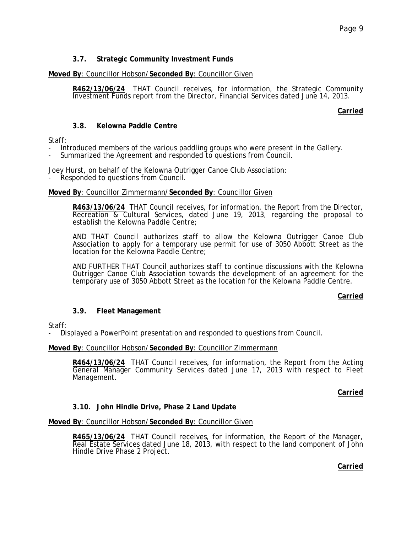# **3.7. Strategic Community Investment Funds**

# **Moved By**: Councillor Hobson/**Seconded By**: Councillor Given

**R462/13/06/24** THAT Council receives, for information, the Strategic Community Investment Funds report from the Director, Financial Services dated June 14, 2013.

**Carried**

# **3.8. Kelowna Paddle Centre**

# Staff:

- Introduced members of the various paddling groups who were present in the Gallery.<br>Summarized the Agreement and responded to questions from Council.
- 

Joey Hurst, on behalf of the Kelowna Outrigger Canoe Club Association:<br>- Responded to questions from Council.

# **Moved By**: Councillor Zimmermann/**Seconded By**: Councillor Given

**R463/13/06/24** THAT Council receives, for information, the Report from the Director, Recreation & Cultural Services, dated June 19, 2013, regarding the proposal to establish the Kelowna Paddle Centre;

AND THAT Council authorizes staff to allow the Kelowna Outrigger Canoe Club Association to apply for a temporary use permit for use of 3050 Abbott Street as the location for the Kelowna Paddle Centre;

AND FURTHER THAT Council authorizes staff to continue discussions with the Kelowna Outrigger Canoe Club Association towards the development of an agreement for the temporary use of 3050 Abbott Street as the location for the Kelowna Paddle Centre.

# **Carried**

# **3.9. Fleet Management**

# Staff:

- Displayed a PowerPoint presentation and responded to questions from Council.

# **Moved By**: Councillor Hobson/**Seconded By**: Councillor Zimmermann

**R464/13/06/24** THAT Council receives, for information, the Report from the Acting General Manager Community Services dated June 17, 2013 with respect to Fleet Management.

**Carried**

# **3.10. John Hindle Drive, Phase 2 Land Update**

**Moved By**: Councillor Hobson/**Seconded By**: Councillor Given

**R465/13/06/24** THAT Council receives, for information, the Report of the Manager, Real Estate Services dated June 18, 2013, with respect to the land component of John Hindle Drive Phase 2 Project.

**Carried**